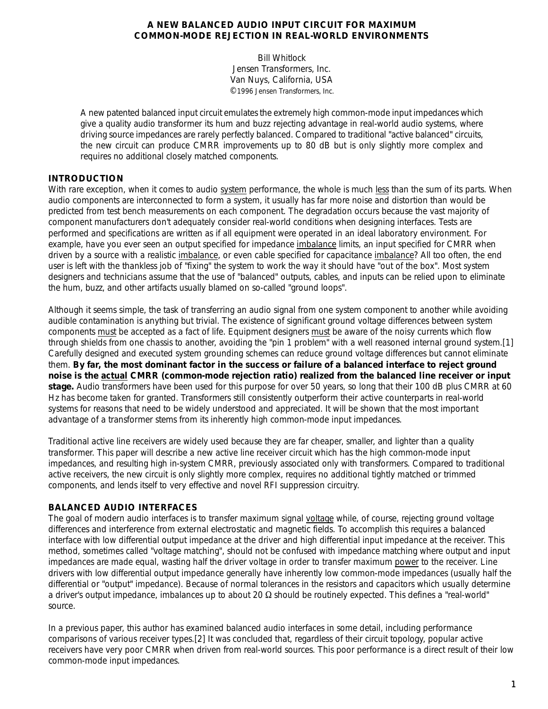## **A NEW BALANCED AUDIO INPUT CIRCUIT FOR MAXIMUM COMMON-MODE REJECTION IN REAL-WORLD ENVIRONMENTS**

## Bill Whitlock Jensen Transformers, Inc. Van Nuys, California, USA ©1996 Jensen Transformers, Inc.

*A new patented balanced input circuit emulates the extremely high common-mode input impedances which give a quality audio transformer its hum and buzz rejecting advantage in real-world audio systems, where driving source impedances are rarely perfectly balanced. Compared to traditional "active balanced" circuits, the new circuit can produce CMRR improvements up to 80 dB but is only slightly more complex and requires no additional closely matched components.*

# **INTRODUCTION**

With rare exception, when it comes to audio system performance, the whole is much less than the sum of its parts. When audio components are interconnected to form a system, it usually has far more noise and distortion than would be predicted from test bench measurements on each component. The degradation occurs because the vast majority of component manufacturers don't adequately consider real-world conditions when designing interfaces. Tests are performed and specifications are written as if all equipment were operated in an ideal laboratory environment. For example, have you ever seen an output specified for impedance imbalance limits, an input specified for CMRR when driven by a source with a realistic imbalance, or even cable specified for capacitance imbalance? All too often, the end user is left with the thankless job of "fixing" the system to work the way it should have "out of the box". Most system designers and technicians assume that the use of "balanced" outputs, cables, and inputs can be relied upon to eliminate the hum, buzz, and other artifacts usually blamed on so-called "ground loops".

Although it seems simple, the task of transferring an audio signal from one system component to another while avoiding audible contamination is anything but trivial. The existence of significant ground voltage differences between system components must be accepted as a fact of life. Equipment designers must be aware of the noisy currents which flow through shields from one chassis to another, avoiding the "pin 1 problem" with a well reasoned internal ground system.[1] Carefully designed and executed system grounding schemes can reduce ground voltage differences but cannot eliminate them. **By far, the most dominant factor in the success or failure of a balanced interface to reject ground noise is the** *actual* **CMRR (common-mode rejection ratio) realized from the balanced line receiver or input stage.** Audio transformers have been used for this purpose for over 50 years, so long that their 100 dB plus CMRR at 60 Hz has become taken for granted. Transformers still consistently outperform their active counterparts in real-world systems for reasons that need to be widely understood and appreciated. It will be shown that the most important advantage of a transformer stems from its inherently high common-mode input impedances.

Traditional active line receivers are widely used because they are far cheaper, smaller, and lighter than a quality transformer. This paper will describe a new active line receiver circuit which has the high common-mode input impedances, and resulting high in-system CMRR, previously associated only with transformers. Compared to traditional active receivers, the new circuit is only slightly more complex, requires no additional tightly matched or trimmed components, and lends itself to very effective and novel RFI suppression circuitry.

## **BALANCED AUDIO INTERFACES**

The goal of modern audio interfaces is to transfer maximum signal voltage while, of course, rejecting ground voltage differences and interference from external electrostatic and magnetic fields. To accomplish this requires a balanced interface with low differential output impedance at the driver and high differential input impedance at the receiver. This method, sometimes called "voltage matching", should not be confused with *impedance matching* where output and input impedances are made equal, wasting half the driver voltage in order to transfer maximum power to the receiver. Line drivers with low differential output impedance generally have inherently low common-mode impedances (usually half the differential or "output" impedance). Because of normal tolerances in the resistors and capacitors which usually determine a driver's output impedance, imbalances up to about 20  $\Omega$  should be routinely expected. This defines a "real-world" source.

In a previous paper, this author has examined balanced audio interfaces in some detail, including performance comparisons of various receiver types.[2] It was concluded that, regardless of their circuit topology, popular active receivers have very poor CMRR when driven from real-world sources. This poor performance is a direct result of their low common-mode input impedances.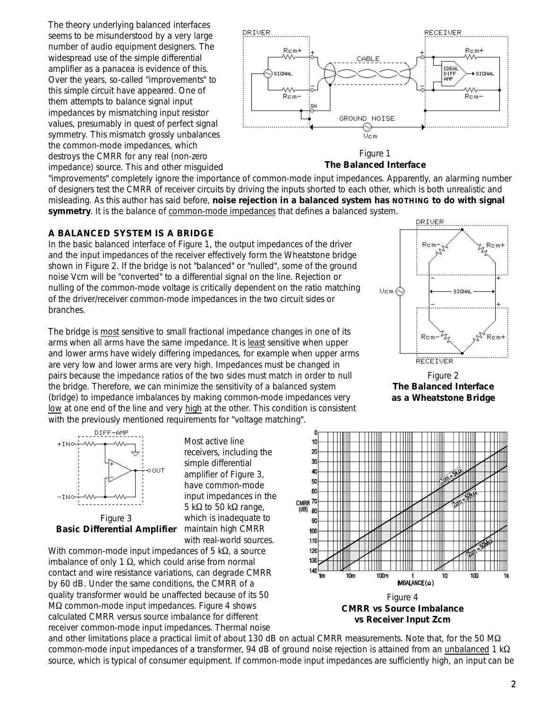The theory underlying balanced interfaces seems to be misunderstood by a very large number of audio equipment designers. The widespread use of the simple differential amplifier as a panacea is evidence of this. Over the years, so-called "improvements" to this simple circuit have appeared. One of them attempts to balance *signal* input impedances by mismatching input resistor values, presumably in quest of perfect signal symmetry. This mismatch grossly *unbalances* the common-mode impedances, which destroys the CMRR for any real (non-zero impedance) source. This and other misguided



Figure 1 **The Balanced Interface**

"improvements" completely ignore the importance of common-mode input impedances. Apparently, an alarming number of designers test the CMRR of receiver circuits by driving the inputs shorted to each other, which is both unrealistic and misleading. As this author has said before, **noise rejection in a balanced system has NOTHING to do with signal symmetry**. It is the balance of common-mode impedances that defines a balanced system.

#### **A BALANCED SYSTEM IS A BRIDGE**

In the basic balanced interface of Figure 1, the output impedances of the driver and the input impedances of the receiver effectively form the Wheatstone bridge shown in Figure 2. If the bridge is not "balanced" or "nulled", some of the ground noise Vcm will be "converted" to a differential signal on the line. Rejection or nulling of the common-mode voltage is critically dependent on the ratio matching of the driver/receiver common-mode impedances in the two circuit sides or branches.

The bridge is most sensitive to small fractional impedance changes in one of its arms when all arms have the same impedance. It is least sensitive when upper and lower arms have widely differing impedances, for example when upper arms are very low and lower arms are very high. Impedances must be changed in *pairs* because the impedance ratios of the two sides must match in order to null the bridge. Therefore, we can minimize the sensitivity of a balanced system (bridge) to impedance imbalances by making common-mode impedances very low at one end of the line and very high at the other. This condition is consistent with the previously mentioned requirements for "voltage matching".

> Most active line receivers, including the simple differential amplifier of Figure 3, have common-mode input impedances in the 5 k $\Omega$  to 50 k $\Omega$  range, which is inadequate to

with real-world sources.



**Basic Differential Amplifier** maintain high CMRR

With common-mode input impedances of 5 k $\Omega$ , a source imbalance of only  $1 \Omega$ , which could arise from normal contact and wire resistance variations, can degrade CMRR by 60 dB. Under the same conditions, the CMRR of a quality transformer would be unaffected because of its 50  $M\Omega$  common-mode input impedances. Figure 4 shows calculated CMRR versus source imbalance for different receiver common-mode input impedances. Thermal noise



Figure 2 **The Balanced Interface as a Wheatstone Bridge**



**CMRR vs Source Imbalance vs Receiver Input Zcm**

and other limitations place a practical limit of about 130 dB on actual CMRR measurements. Note that, for the 50 M $\Omega$ common-mode input impedances of a transformer, 94 dB of ground noise rejection is attained from an unbalanced 1 k $\Omega$ source, which is typical of consumer equipment. If common-mode input impedances are sufficiently high, an input can be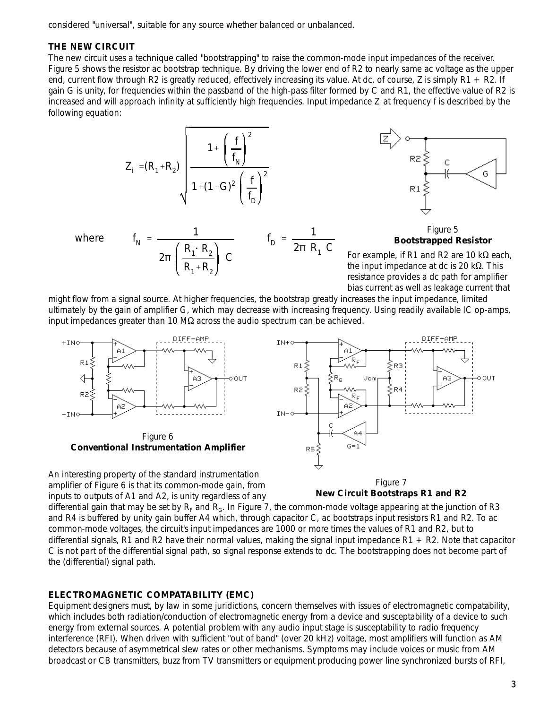considered "universal", suitable for any source whether balanced or unbalanced.

#### **THE NEW CIRCUIT**

*where* 

The new circuit uses a technique called "bootstrapping" to raise the common-mode input impedances of the receiver. Figure 5 shows the resistor ac bootstrap technique. By driving the lower end of R2 to nearly same ac voltage as the upper end, current flow through R2 is greatly reduced, effectively increasing its value. At dc, of course, Z is simply  $R1 + R2$ . If gain G is unity, for frequencies within the passband of the high-pass filter formed by C and R1, the effective value of R2 is increased and will approach infinity at sufficiently high frequencies. Input impedance Z<sub>i</sub> at frequency f is described by the following equation:

$$
Z_{i} = (R_{1} + R_{2})
$$
\n
$$
\sqrt{\frac{1 + \left(\frac{f}{f_{N}}\right)^{2}}{1 + (1 - G)^{2} \left(\frac{f}{f_{D}}\right)^{2}}}
$$

 $=$   $\frac{1}{1}$ 

 $2π\left(\frac{R_1 \cdot R_2}{\cdot \cdot \cdot R_2}\right)$ 

 $R_1 + R_2$ 

*C*





For example, if R1 and R2 are 10  $k\Omega$  each, the input impedance at dc is 20  $k\Omega$ . This resistance provides a dc path for amplifier bias current as well as leakage current that

might flow from a signal source. At higher frequencies, the bootstrap greatly increases the input impedance, limited ultimately by the gain of amplifier G, which may decrease with increasing frequency. Using readily available IC op-amps, input impedances greater than 10  $\text{M}\Omega$  across the audio spectrum can be achieved.

 $f_D = \frac{1}{2\pi R}$ 

2B *R*<sup>1</sup> *C*



amplifier of Figure 6 is that its common-mode gain, from inputs to outputs of A1 and A2, is unity regardless of any



differential gain that may be set by  ${\bf R}_{\rm F}$  and  ${\bf R}_{\rm G}$ . In Figure 7, the common-mode voltage appearing at the junction of R3 and R4 is buffered by unity gain buffer A4 which, through capacitor C, ac bootstraps input resistors R1 and R2. To ac common-mode voltages, the circuit's input impedances are 1000 or more times the values of R1 and R2, but to differential signals, R1 and R2 have their normal values, making the signal input impedance  $R1 + R2$ . Note that capacitor C is not part of the differential signal path, so signal response extends to dc. The bootstrapping does not become part of the (differential) signal path.

#### **ELECTROMAGNETIC COMPATABILITY (EMC)**

Equipment designers must, by law in some juridictions, concern themselves with issues of electromagnetic compatability, which includes both radiation/conduction of electromagnetic energy *from* a device and susceptability of a device *to* such energy from external sources. A potential problem with any audio input stage is susceptability to radio frequency interference (RFI). When driven with sufficient "out of band" (over 20 kHz) voltage, most amplifiers will function as AM detectors because of asymmetrical slew rates or other mechanisms. Symptoms may include voices or music from AM broadcast or CB transmitters, buzz from TV transmitters or equipment producing power line synchronized bursts of RFI,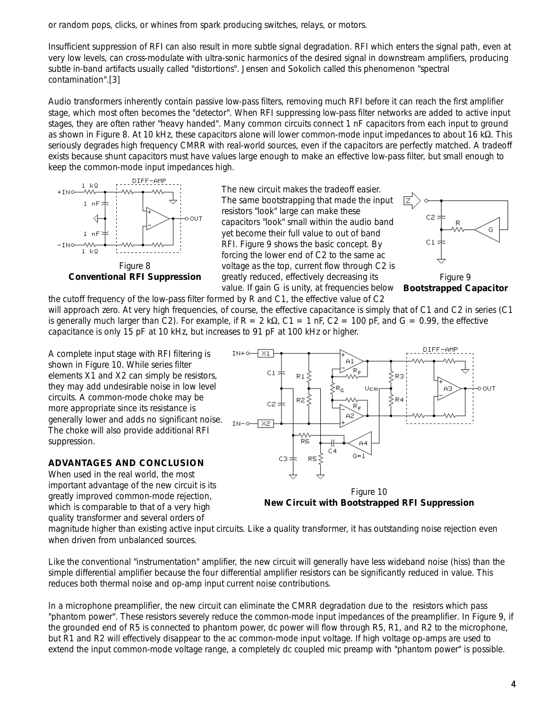or random pops, clicks, or whines from spark producing switches, relays, or motors.

Insufficient suppression of RFI can also result in more subtle signal degradation. RFI which enters the signal path, even at very low levels, can cross-modulate with ultra-sonic harmonics of the desired signal in downstream amplifiers, producing subtle in-band artifacts usually called "distortions". Jensen and Sokolich called this phenomenon "spectral contamination".[3]

Audio transformers inherently contain passive low-pass filters, removing much RFI before it can reach the first amplifier stage, which most often becomes the "detector". When RFI suppressing low-pass filter networks are added to active input stages, they are often rather "heavy handed". Many common circuits connect 1 nF capacitors from each input to ground as shown in Figure 8. At 10 kHz, these capacitors alone will lower common-mode input impedances to about 16 kS. This seriously degrades high frequency CMRR with real-world sources, even if the capacitors are perfectly matched. A tradeoff exists because shunt capacitors must have values large enough to make an effective low-pass filter, but small enough to keep the common-mode input impedances high.



Conventional RFI Suppression egreatly reduced, effectively decreasing its **Figure 9** value. If gain G is unity, at frequencies below Bootstrapped Capacitor The new circuit makes the tradeoff easier. The same bootstrapping that made the input resistors "look" large can make these capacitors "look" small within the audio band yet become their full value to out of band RFI. Figure 9 shows the basic concept. By forcing the lower end of C2 to the same ac voltage as the top, current flow through C2 is



the cutoff frequency of the low-pass filter formed by R and C1, the effective value of C2 will approach zero. At very high frequencies, of course, the effective capacitance is simply that of C1 and C2 in series (C1 is generally much larger than C2). For example, if  $R = 2$  kQ, C1 = 1 nF, C2 = 100 pF, and G = 0.99, the effective capacitance is only 15 pF at 10 kHz, but increases to 91 pF at 100 kHz or higher.

A complete input stage with RFI filtering is shown in Figure 10. While series filter elements X1 and X2 can simply be resistors, they may add undesirable noise in low level circuits. A common-mode choke may be more appropriate since its resistance is generally lower and adds no significant noise. The choke will also provide additional RFI suppression.

### **ADVANTAGES AND CONCLUSION**

When used in the real world, the most important advantage of the new circuit is its greatly improved common-mode rejection, which is comparable to that of a very high quality transformer and several orders of



Figure 10 **New Circuit with Bootstrapped RFI Suppression**

magnitude higher than existing active input circuits. Like a quality transformer, it has outstanding noise rejection even when driven from unbalanced sources.

Like the conventional "instrumentation" amplifier, the new circuit will generally have less wideband noise (hiss) than the simple differential amplifier because the four differential amplifier resistors can be significantly reduced in value. This reduces both thermal noise and op-amp input current noise contributions.

In a microphone preamplifier, the new circuit can eliminate the CMRR degradation due to the resistors which pass "phantom power". These resistors severely reduce the common-mode input impedances of the preamplifier. In Figure 9, if the grounded end of R5 is connected to phantom power, dc power will flow through R5, R1, and R2 to the microphone, but R1 and R2 will effectively disappear to the ac common-mode input voltage. If high voltage op-amps are used to extend the input common-mode voltage range, a completely dc coupled mic preamp with "phantom power" is possible.